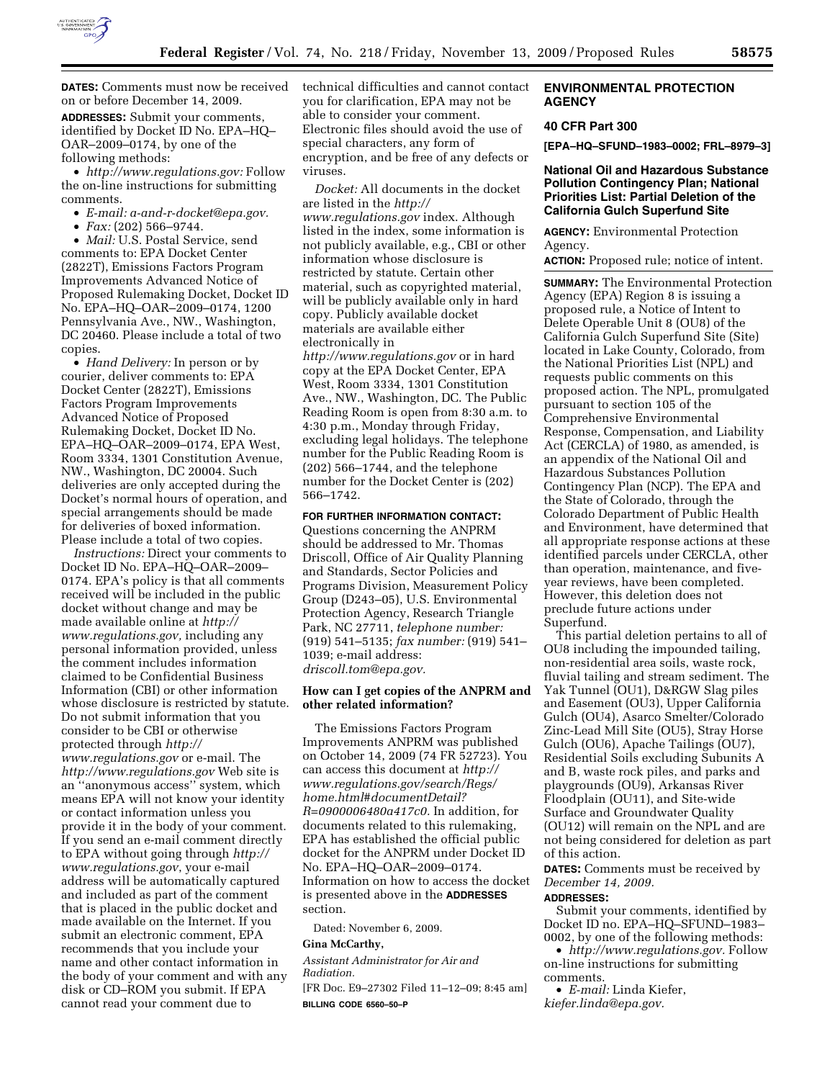

**DATES:** Comments must now be received on or before December 14, 2009.

**ADDRESSES:** Submit your comments, identified by Docket ID No. EPA–HQ– OAR–2009–0174, by one of the following methods:

• *http://www.regulations.gov:* Follow the on-line instructions for submitting comments.

• *E-mail: a-and-r-docket@epa.gov.* 

• *Fax:* (202) 566–9744.

• *Mail:* U.S. Postal Service, send comments to: EPA Docket Center (2822T), Emissions Factors Program Improvements Advanced Notice of Proposed Rulemaking Docket, Docket ID No. EPA–HQ–OAR–2009–0174, 1200 Pennsylvania Ave., NW., Washington, DC 20460. Please include a total of two copies.

• *Hand Delivery:* In person or by courier, deliver comments to: EPA Docket Center (2822T), Emissions Factors Program Improvements Advanced Notice of Proposed Rulemaking Docket, Docket ID No. EPA–HQ–OAR–2009–0174, EPA West, Room 3334, 1301 Constitution Avenue, NW., Washington, DC 20004. Such deliveries are only accepted during the Docket's normal hours of operation, and special arrangements should be made for deliveries of boxed information. Please include a total of two copies.

*Instructions:* Direct your comments to Docket ID No. EPA–HQ–OAR–2009– 0174. EPA's policy is that all comments received will be included in the public docket without change and may be made available online at *http:// www.regulations.gov,* including any personal information provided, unless the comment includes information claimed to be Confidential Business Information (CBI) or other information whose disclosure is restricted by statute. Do not submit information that you consider to be CBI or otherwise protected through *http:// www.regulations.gov* or e-mail. The *http://www.regulations.gov* Web site is an ''anonymous access'' system, which means EPA will not know your identity or contact information unless you provide it in the body of your comment. If you send an e-mail comment directly to EPA without going through *http:// www.regulations.gov*, your e-mail address will be automatically captured and included as part of the comment that is placed in the public docket and made available on the Internet. If you submit an electronic comment, EPA recommends that you include your name and other contact information in the body of your comment and with any disk or CD–ROM you submit. If EPA cannot read your comment due to

technical difficulties and cannot contact you for clarification, EPA may not be able to consider your comment. Electronic files should avoid the use of special characters, any form of encryption, and be free of any defects or viruses.

*Docket:* All documents in the docket are listed in the *http:// www.regulations.gov* index. Although listed in the index, some information is not publicly available, e.g., CBI or other information whose disclosure is restricted by statute. Certain other material, such as copyrighted material, will be publicly available only in hard copy. Publicly available docket materials are available either electronically in *http://www.regulations.gov* or in hard copy at the EPA Docket Center, EPA West, Room 3334, 1301 Constitution Ave., NW., Washington, DC. The Public Reading Room is open from 8:30 a.m. to 4:30 p.m., Monday through Friday, excluding legal holidays. The telephone number for the Public Reading Room is (202) 566–1744, and the telephone number for the Docket Center is (202) 566–1742.

**FOR FURTHER INFORMATION CONTACT:** 

Questions concerning the ANPRM should be addressed to Mr. Thomas Driscoll, Office of Air Quality Planning and Standards, Sector Policies and Programs Division, Measurement Policy Group (D243–05), U.S. Environmental Protection Agency, Research Triangle Park, NC 27711, *telephone number:*  (919) 541–5135; *fax number:* (919) 541– 1039; e-mail address: *driscoll.tom@epa.gov.* 

#### **How can I get copies of the ANPRM and other related information?**

The Emissions Factors Program Improvements ANPRM was published on October 14, 2009 (74 FR 52723). You can access this document at *http:// www.regulations.gov/search/Regs/ home.html#documentDetail? R=0900006480a417c0.* In addition, for documents related to this rulemaking, EPA has established the official public docket for the ANPRM under Docket ID No. EPA–HQ–OAR–2009–0174. Information on how to access the docket is presented above in the **ADDRESSES** section.

Dated: November 6, 2009.

#### **Gina McCarthy,**

*Assistant Administrator for Air and Radiation.* 

[FR Doc. E9–27302 Filed 11–12–09; 8:45 am] **BILLING CODE 6560–50–P** 

#### **ENVIRONMENTAL PROTECTION AGENCY**

#### **40 CFR Part 300**

**[EPA–HQ–SFUND–1983–0002; FRL–8979–3]** 

#### **National Oil and Hazardous Substance Pollution Contingency Plan; National Priorities List: Partial Deletion of the California Gulch Superfund Site**

**AGENCY:** Environmental Protection Agency.

**ACTION:** Proposed rule; notice of intent.

**SUMMARY:** The Environmental Protection Agency (EPA) Region 8 is issuing a proposed rule, a Notice of Intent to Delete Operable Unit 8 (OU8) of the California Gulch Superfund Site (Site) located in Lake County, Colorado, from the National Priorities List (NPL) and requests public comments on this proposed action. The NPL, promulgated pursuant to section 105 of the Comprehensive Environmental Response, Compensation, and Liability Act (CERCLA) of 1980, as amended, is an appendix of the National Oil and Hazardous Substances Pollution Contingency Plan (NCP). The EPA and the State of Colorado, through the Colorado Department of Public Health and Environment, have determined that all appropriate response actions at these identified parcels under CERCLA, other than operation, maintenance, and fiveyear reviews, have been completed. However, this deletion does not preclude future actions under Superfund.

This partial deletion pertains to all of OU8 including the impounded tailing, non-residential area soils, waste rock, fluvial tailing and stream sediment. The Yak Tunnel (OU1), D&RGW Slag piles and Easement (OU3), Upper California Gulch (OU4), Asarco Smelter/Colorado Zinc-Lead Mill Site (OU5), Stray Horse Gulch (OU6), Apache Tailings (OU7), Residential Soils excluding Subunits A and B, waste rock piles, and parks and playgrounds (OU9), Arkansas River Floodplain (OU11), and Site-wide Surface and Groundwater Quality (OU12) will remain on the NPL and are not being considered for deletion as part of this action.

**DATES:** Comments must be received by *December 14, 2009.* 

### **ADDRESSES:**

Submit your comments, identified by Docket ID no. EPA–HQ–SFUND–1983– 0002, by one of the following methods:

• *http://www.regulations.gov.* Follow on-line instructions for submitting comments.

• *E-mail:* Linda Kiefer, *kiefer.linda@epa.gov.*